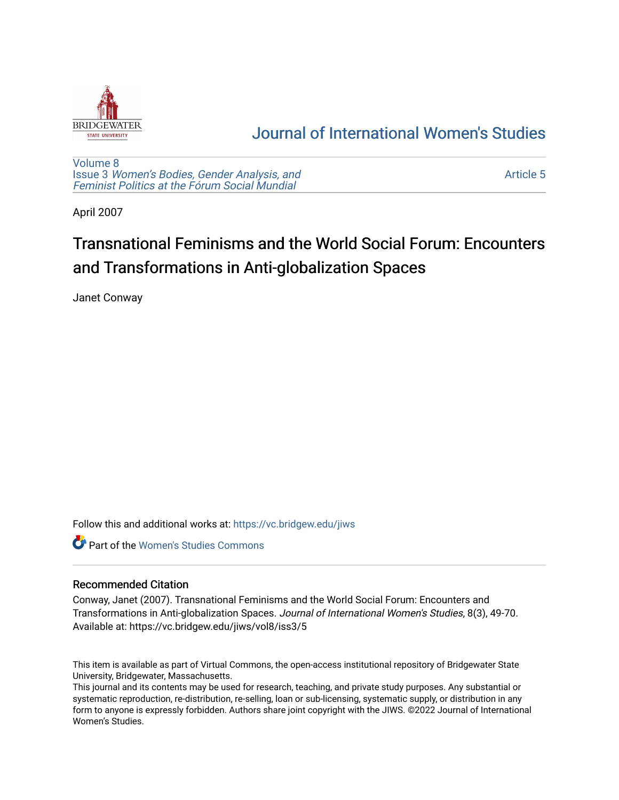

## [Journal of International Women's Studies](https://vc.bridgew.edu/jiws)

[Volume 8](https://vc.bridgew.edu/jiws/vol8) Issue 3 [Women's Bodies, Gender Analysis, and](https://vc.bridgew.edu/jiws/vol8/iss3) [Feminist Politics at the Fórum Social Mundial](https://vc.bridgew.edu/jiws/vol8/iss3)

[Article 5](https://vc.bridgew.edu/jiws/vol8/iss3/5) 

April 2007

# Transnational Feminisms and the World Social Forum: Encounters and Transformations in Anti-globalization Spaces

Janet Conway

Follow this and additional works at: [https://vc.bridgew.edu/jiws](https://vc.bridgew.edu/jiws?utm_source=vc.bridgew.edu%2Fjiws%2Fvol8%2Fiss3%2F5&utm_medium=PDF&utm_campaign=PDFCoverPages)

Part of the [Women's Studies Commons](http://network.bepress.com/hgg/discipline/561?utm_source=vc.bridgew.edu%2Fjiws%2Fvol8%2Fiss3%2F5&utm_medium=PDF&utm_campaign=PDFCoverPages) 

### Recommended Citation

Conway, Janet (2007). Transnational Feminisms and the World Social Forum: Encounters and Transformations in Anti-globalization Spaces. Journal of International Women's Studies, 8(3), 49-70. Available at: https://vc.bridgew.edu/jiws/vol8/iss3/5

This item is available as part of Virtual Commons, the open-access institutional repository of Bridgewater State University, Bridgewater, Massachusetts.

This journal and its contents may be used for research, teaching, and private study purposes. Any substantial or systematic reproduction, re-distribution, re-selling, loan or sub-licensing, systematic supply, or distribution in any form to anyone is expressly forbidden. Authors share joint copyright with the JIWS. ©2022 Journal of International Women's Studies.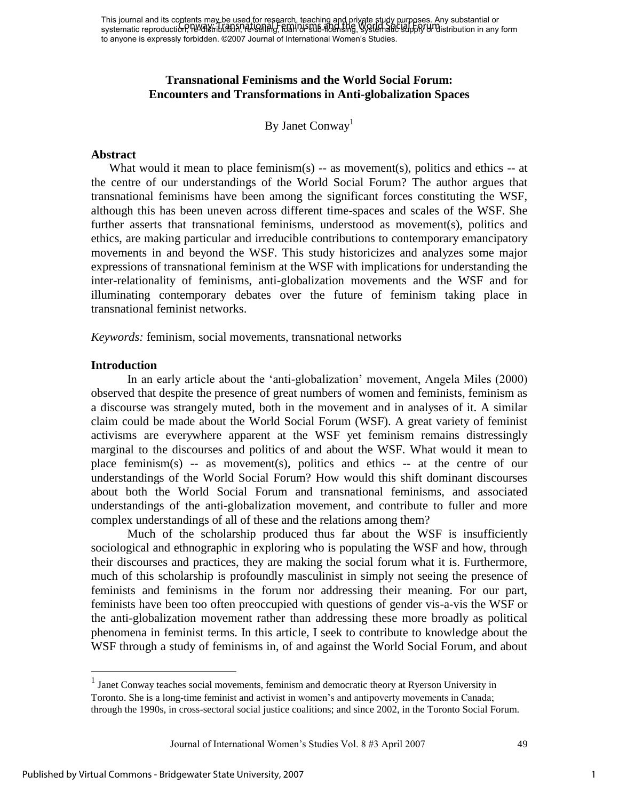This journal and its contents may be used for research, teaching and private study purposes. Any substantial or This journal and its concints market distribution is called the Regiment of the World Society Any substantial or<br>systematic reproduction, Pe-GM in Indian Pe-Gening, Feminisms and the World Society of Undistribution in any to anyone is expressly forbidden. ©2007 Journal of International Women's Studies.

## **Transnational Feminisms and the World Social Forum: Encounters and Transformations in Anti-globalization Spaces**

By Janet Conway<sup>1</sup>

#### **Abstract**

What would it mean to place feminism(s)  $-$  as movement(s), politics and ethics  $-$  at the centre of our understandings of the World Social Forum? The author argues that transnational feminisms have been among the significant forces constituting the WSF, although this has been uneven across different time-spaces and scales of the WSF. She further asserts that transnational feminisms, understood as movement(s), politics and ethics, are making particular and irreducible contributions to contemporary emancipatory movements in and beyond the WSF. This study historicizes and analyzes some major expressions of transnational feminism at the WSF with implications for understanding the inter-relationality of feminisms, anti-globalization movements and the WSF and for illuminating contemporary debates over the future of feminism taking place in transnational feminist networks.

*Keywords:* feminism, social movements, transnational networks

#### **Introduction**

In an early article about the "anti-globalization" movement, Angela Miles (2000) observed that despite the presence of great numbers of women and feminists, feminism as a discourse was strangely muted, both in the movement and in analyses of it. A similar claim could be made about the World Social Forum (WSF). A great variety of feminist activisms are everywhere apparent at the WSF yet feminism remains distressingly marginal to the discourses and politics of and about the WSF. What would it mean to place feminism(s) -- as movement(s), politics and ethics -- at the centre of our understandings of the World Social Forum? How would this shift dominant discourses about both the World Social Forum and transnational feminisms, and associated understandings of the anti-globalization movement, and contribute to fuller and more complex understandings of all of these and the relations among them?

 Much of the scholarship produced thus far about the WSF is insufficiently sociological and ethnographic in exploring who is populating the WSF and how, through their discourses and practices, they are making the social forum what it is. Furthermore, much of this scholarship is profoundly masculinist in simply not seeing the presence of feminists and feminisms in the forum nor addressing their meaning. For our part, feminists have been too often preoccupied with questions of gender vis-a-vis the WSF or the anti-globalization movement rather than addressing these more broadly as political phenomena in feminist terms. In this article, I seek to contribute to knowledge about the WSF through a study of feminisms in, of and against the World Social Forum, and about

 $\overline{a}$ 

1

 $<sup>1</sup>$  Janet Conway teaches social movements, feminism and democratic theory at Ryerson University in</sup> Toronto. She is a long-time feminist and activist in women"s and antipoverty movements in Canada; through the 1990s, in cross-sectoral social justice coalitions; and since 2002, in the Toronto Social Forum.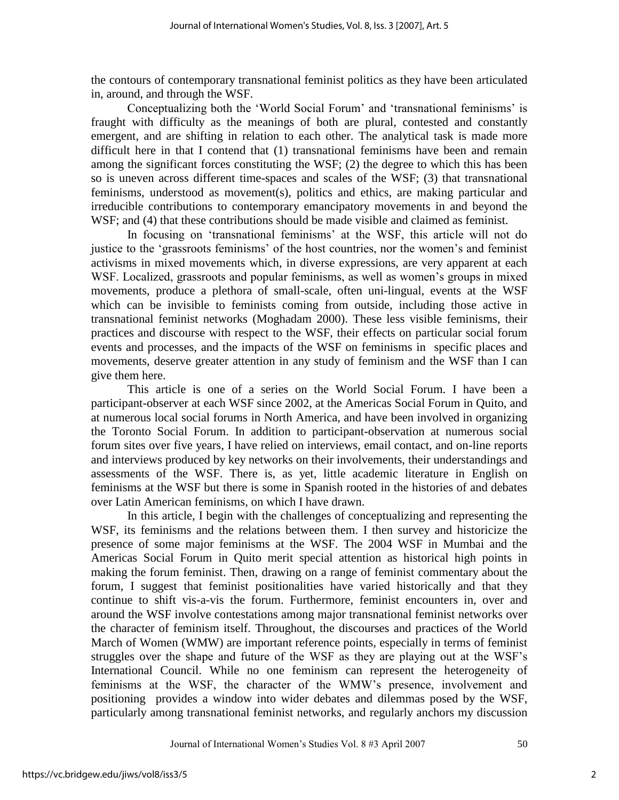the contours of contemporary transnational feminist politics as they have been articulated in, around, and through the WSF.

Conceptualizing both the 'World Social Forum' and 'transnational feminisms' is fraught with difficulty as the meanings of both are plural, contested and constantly emergent, and are shifting in relation to each other. The analytical task is made more difficult here in that I contend that (1) transnational feminisms have been and remain among the significant forces constituting the WSF; (2) the degree to which this has been so is uneven across different time-spaces and scales of the WSF; (3) that transnational feminisms, understood as movement(s), politics and ethics, are making particular and irreducible contributions to contemporary emancipatory movements in and beyond the WSF; and (4) that these contributions should be made visible and claimed as feminist.

In focusing on 'transnational feminisms' at the WSF, this article will not do justice to the 'grassroots feminisms' of the host countries, nor the women's and feminist activisms in mixed movements which, in diverse expressions, are very apparent at each WSF. Localized, grassroots and popular feminisms, as well as women's groups in mixed movements, produce a plethora of small-scale, often uni-lingual, events at the WSF which can be invisible to feminists coming from outside, including those active in transnational feminist networks (Moghadam 2000). These less visible feminisms, their practices and discourse with respect to the WSF, their effects on particular social forum events and processes, and the impacts of the WSF on feminisms in specific places and movements, deserve greater attention in any study of feminism and the WSF than I can give them here.

 This article is one of a series on the World Social Forum. I have been a participant-observer at each WSF since 2002, at the Americas Social Forum in Quito, and at numerous local social forums in North America, and have been involved in organizing the Toronto Social Forum. In addition to participant-observation at numerous social forum sites over five years, I have relied on interviews, email contact, and on-line reports and interviews produced by key networks on their involvements, their understandings and assessments of the WSF. There is, as yet, little academic literature in English on feminisms at the WSF but there is some in Spanish rooted in the histories of and debates over Latin American feminisms, on which I have drawn.

 In this article, I begin with the challenges of conceptualizing and representing the WSF, its feminisms and the relations between them. I then survey and historicize the presence of some major feminisms at the WSF. The 2004 WSF in Mumbai and the Americas Social Forum in Quito merit special attention as historical high points in making the forum feminist. Then, drawing on a range of feminist commentary about the forum, I suggest that feminist positionalities have varied historically and that they continue to shift vis-a-vis the forum. Furthermore, feminist encounters in, over and around the WSF involve contestations among major transnational feminist networks over the character of feminism itself. Throughout, the discourses and practices of the World March of Women (WMW) are important reference points, especially in terms of feminist struggles over the shape and future of the WSF as they are playing out at the WSF"s International Council. While no one feminism can represent the heterogeneity of feminisms at the WSF, the character of the WMW"s presence, involvement and positioning provides a window into wider debates and dilemmas posed by the WSF, particularly among transnational feminist networks, and regularly anchors my discussion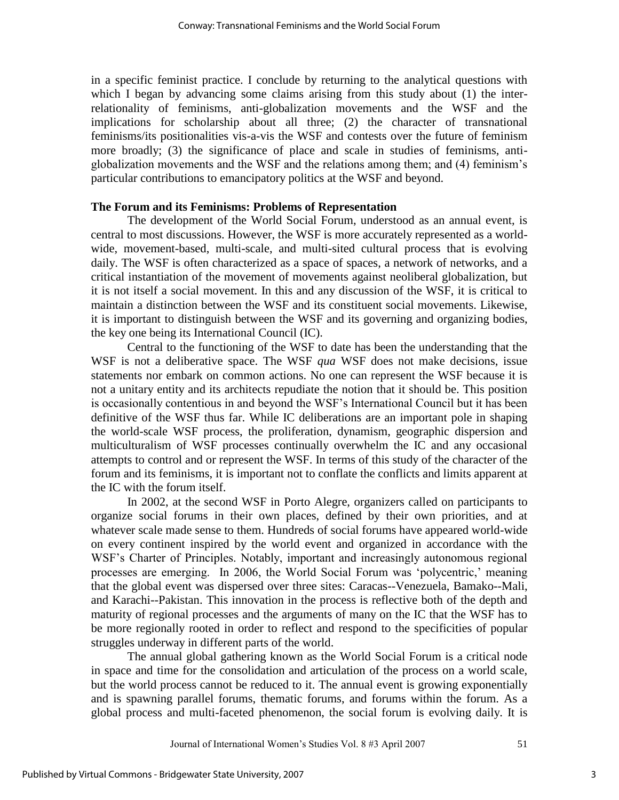in a specific feminist practice. I conclude by returning to the analytical questions with which I began by advancing some claims arising from this study about (1) the interrelationality of feminisms, anti-globalization movements and the WSF and the implications for scholarship about all three; (2) the character of transnational feminisms/its positionalities vis-a-vis the WSF and contests over the future of feminism more broadly; (3) the significance of place and scale in studies of feminisms, antiglobalization movements and the WSF and the relations among them; and (4) feminism"s particular contributions to emancipatory politics at the WSF and beyond.

#### **The Forum and its Feminisms: Problems of Representation**

 The development of the World Social Forum, understood as an annual event, is central to most discussions. However, the WSF is more accurately represented as a worldwide, movement-based, multi-scale, and multi-sited cultural process that is evolving daily. The WSF is often characterized as a space of spaces, a network of networks, and a critical instantiation of the movement of movements against neoliberal globalization, but it is not itself a social movement. In this and any discussion of the WSF, it is critical to maintain a distinction between the WSF and its constituent social movements. Likewise, it is important to distinguish between the WSF and its governing and organizing bodies, the key one being its International Council (IC).

 Central to the functioning of the WSF to date has been the understanding that the WSF is not a deliberative space. The WSF *qua* WSF does not make decisions, issue statements nor embark on common actions. No one can represent the WSF because it is not a unitary entity and its architects repudiate the notion that it should be. This position is occasionally contentious in and beyond the WSF"s International Council but it has been definitive of the WSF thus far. While IC deliberations are an important pole in shaping the world-scale WSF process, the proliferation, dynamism, geographic dispersion and multiculturalism of WSF processes continually overwhelm the IC and any occasional attempts to control and or represent the WSF. In terms of this study of the character of the forum and its feminisms, it is important not to conflate the conflicts and limits apparent at the IC with the forum itself.

 In 2002, at the second WSF in Porto Alegre, organizers called on participants to organize social forums in their own places, defined by their own priorities, and at whatever scale made sense to them. Hundreds of social forums have appeared world-wide on every continent inspired by the world event and organized in accordance with the WSF"s Charter of Principles. Notably, important and increasingly autonomous regional processes are emerging. In 2006, the World Social Forum was "polycentric," meaning that the global event was dispersed over three sites: Caracas--Venezuela, Bamako--Mali, and Karachi--Pakistan. This innovation in the process is reflective both of the depth and maturity of regional processes and the arguments of many on the IC that the WSF has to be more regionally rooted in order to reflect and respond to the specificities of popular struggles underway in different parts of the world.

 The annual global gathering known as the World Social Forum is a critical node in space and time for the consolidation and articulation of the process on a world scale, but the world process cannot be reduced to it. The annual event is growing exponentially and is spawning parallel forums, thematic forums, and forums within the forum. As a global process and multi-faceted phenomenon, the social forum is evolving daily. It is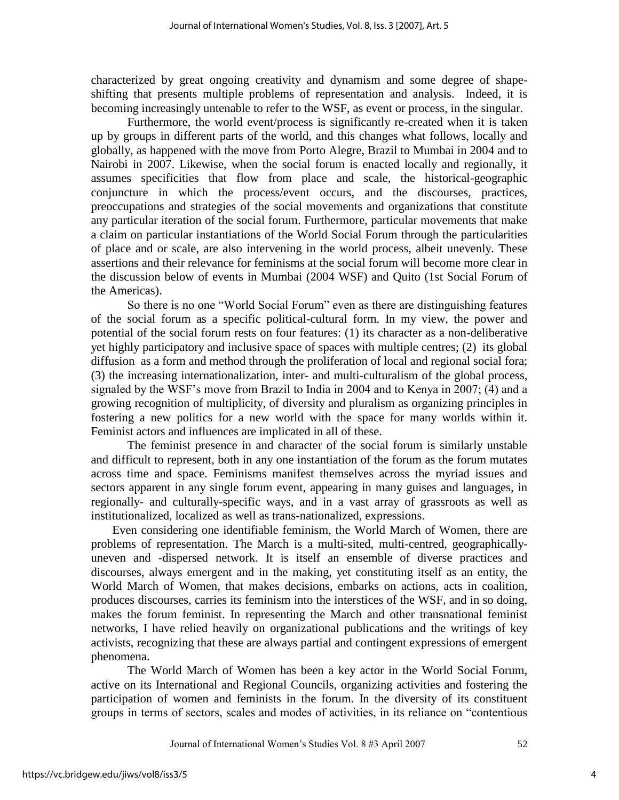characterized by great ongoing creativity and dynamism and some degree of shapeshifting that presents multiple problems of representation and analysis. Indeed, it is becoming increasingly untenable to refer to the WSF, as event or process, in the singular.

 Furthermore, the world event/process is significantly re-created when it is taken up by groups in different parts of the world, and this changes what follows, locally and globally, as happened with the move from Porto Alegre, Brazil to Mumbai in 2004 and to Nairobi in 2007. Likewise, when the social forum is enacted locally and regionally, it assumes specificities that flow from place and scale, the historical-geographic conjuncture in which the process/event occurs, and the discourses, practices, preoccupations and strategies of the social movements and organizations that constitute any particular iteration of the social forum. Furthermore, particular movements that make a claim on particular instantiations of the World Social Forum through the particularities of place and or scale, are also intervening in the world process, albeit unevenly. These assertions and their relevance for feminisms at the social forum will become more clear in the discussion below of events in Mumbai (2004 WSF) and Quito (1st Social Forum of the Americas).

So there is no one "World Social Forum" even as there are distinguishing features of the social forum as a specific political-cultural form. In my view, the power and potential of the social forum rests on four features: (1) its character as a non-deliberative yet highly participatory and inclusive space of spaces with multiple centres; (2) its global diffusion as a form and method through the proliferation of local and regional social fora; (3) the increasing internationalization, inter- and multi-culturalism of the global process, signaled by the WSF"s move from Brazil to India in 2004 and to Kenya in 2007; (4) and a growing recognition of multiplicity, of diversity and pluralism as organizing principles in fostering a new politics for a new world with the space for many worlds within it. Feminist actors and influences are implicated in all of these.

 The feminist presence in and character of the social forum is similarly unstable and difficult to represent, both in any one instantiation of the forum as the forum mutates across time and space. Feminisms manifest themselves across the myriad issues and sectors apparent in any single forum event, appearing in many guises and languages, in regionally- and culturally-specific ways, and in a vast array of grassroots as well as institutionalized, localized as well as trans-nationalized, expressions.

 Even considering one identifiable feminism, the World March of Women, there are problems of representation. The March is a multi-sited, multi-centred, geographicallyuneven and -dispersed network. It is itself an ensemble of diverse practices and discourses, always emergent and in the making, yet constituting itself as an entity, the World March of Women, that makes decisions, embarks on actions, acts in coalition, produces discourses, carries its feminism into the interstices of the WSF, and in so doing, makes the forum feminist. In representing the March and other transnational feminist networks, I have relied heavily on organizational publications and the writings of key activists, recognizing that these are always partial and contingent expressions of emergent phenomena.

The World March of Women has been a key actor in the World Social Forum, active on its International and Regional Councils, organizing activities and fostering the participation of women and feminists in the forum. In the diversity of its constituent groups in terms of sectors, scales and modes of activities, in its reliance on "contentious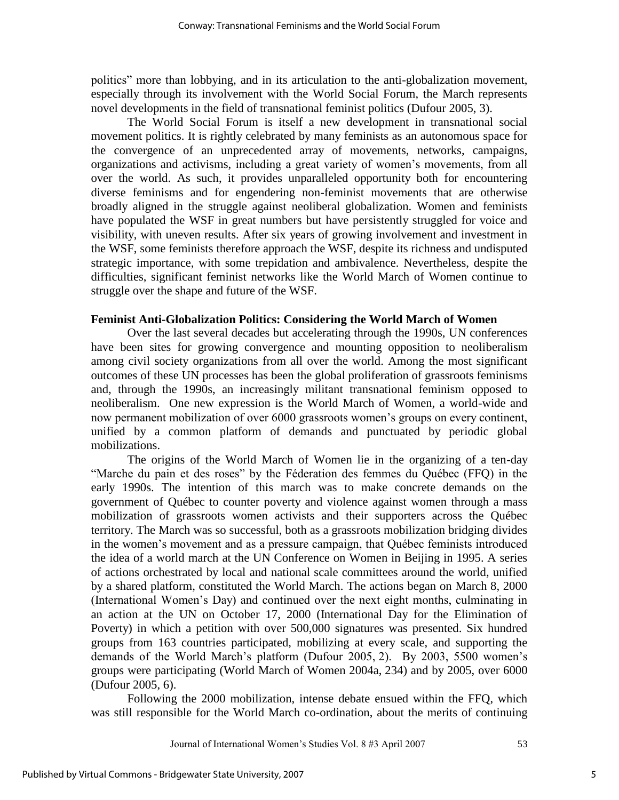politics" more than lobbying, and in its articulation to the anti-globalization movement, especially through its involvement with the World Social Forum, the March represents novel developments in the field of transnational feminist politics (Dufour 2005, 3).

 The World Social Forum is itself a new development in transnational social movement politics. It is rightly celebrated by many feminists as an autonomous space for the convergence of an unprecedented array of movements, networks, campaigns, organizations and activisms, including a great variety of women"s movements, from all over the world. As such, it provides unparalleled opportunity both for encountering diverse feminisms and for engendering non-feminist movements that are otherwise broadly aligned in the struggle against neoliberal globalization. Women and feminists have populated the WSF in great numbers but have persistently struggled for voice and visibility, with uneven results. After six years of growing involvement and investment in the WSF, some feminists therefore approach the WSF, despite its richness and undisputed strategic importance, with some trepidation and ambivalence. Nevertheless, despite the difficulties, significant feminist networks like the World March of Women continue to struggle over the shape and future of the WSF.

#### **Feminist Anti-Globalization Politics: Considering the World March of Women**

 Over the last several decades but accelerating through the 1990s, UN conferences have been sites for growing convergence and mounting opposition to neoliberalism among civil society organizations from all over the world. Among the most significant outcomes of these UN processes has been the global proliferation of grassroots feminisms and, through the 1990s, an increasingly militant transnational feminism opposed to neoliberalism. One new expression is the World March of Women, a world-wide and now permanent mobilization of over 6000 grassroots women"s groups on every continent, unified by a common platform of demands and punctuated by periodic global mobilizations.

 The origins of the World March of Women lie in the organizing of a ten-day "Marche du pain et des roses" by the Féderation des femmes du Québec (FFQ) in the early 1990s. The intention of this march was to make concrete demands on the government of Québec to counter poverty and violence against women through a mass mobilization of grassroots women activists and their supporters across the Québec territory. The March was so successful, both as a grassroots mobilization bridging divides in the women"s movement and as a pressure campaign, that Québec feminists introduced the idea of a world march at the UN Conference on Women in Beijing in 1995. A series of actions orchestrated by local and national scale committees around the world, unified by a shared platform, constituted the World March. The actions began on March 8, 2000 (International Women"s Day) and continued over the next eight months, culminating in an action at the UN on October 17, 2000 (International Day for the Elimination of Poverty) in which a petition with over 500,000 signatures was presented. Six hundred groups from 163 countries participated, mobilizing at every scale, and supporting the demands of the World March"s platform (Dufour 2005, 2). By 2003, 5500 women"s groups were participating (World March of Women 2004a, 234) and by 2005, over 6000 (Dufour 2005, 6).

 Following the 2000 mobilization, intense debate ensued within the FFQ, which was still responsible for the World March co-ordination, about the merits of continuing

5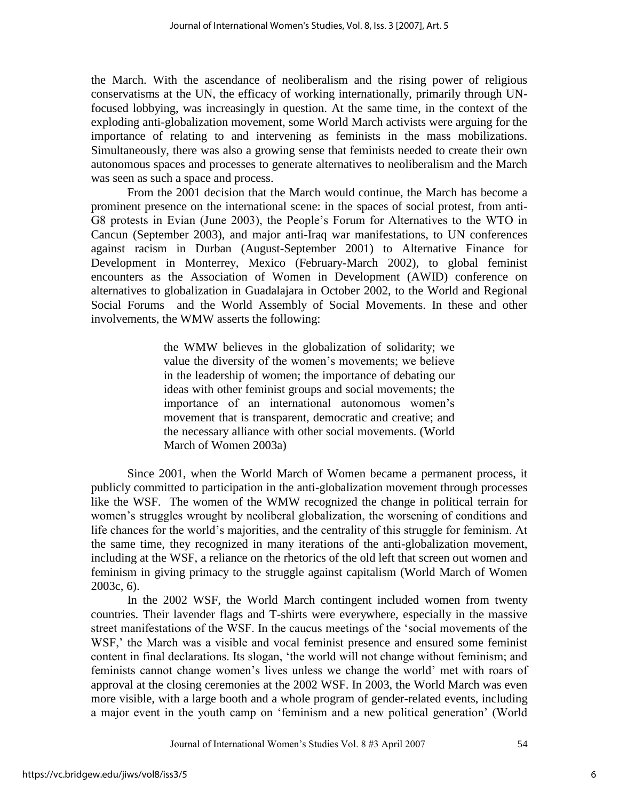the March. With the ascendance of neoliberalism and the rising power of religious conservatisms at the UN, the efficacy of working internationally, primarily through UNfocused lobbying, was increasingly in question. At the same time, in the context of the exploding anti-globalization movement, some World March activists were arguing for the importance of relating to and intervening as feminists in the mass mobilizations. Simultaneously, there was also a growing sense that feminists needed to create their own autonomous spaces and processes to generate alternatives to neoliberalism and the March was seen as such a space and process.

 From the 2001 decision that the March would continue, the March has become a prominent presence on the international scene: in the spaces of social protest, from anti-G8 protests in Evian (June 2003), the People"s Forum for Alternatives to the WTO in Cancun (September 2003), and major anti-Iraq war manifestations, to UN conferences against racism in Durban (August-September 2001) to Alternative Finance for Development in Monterrey, Mexico (February-March 2002), to global feminist encounters as the Association of Women in Development (AWID) conference on alternatives to globalization in Guadalajara in October 2002, to the World and Regional Social Forums and the World Assembly of Social Movements. In these and other involvements, the WMW asserts the following:

> the WMW believes in the globalization of solidarity; we value the diversity of the women"s movements; we believe in the leadership of women; the importance of debating our ideas with other feminist groups and social movements; the importance of an international autonomous women"s movement that is transparent, democratic and creative; and the necessary alliance with other social movements. (World March of Women 2003a)

 Since 2001, when the World March of Women became a permanent process, it publicly committed to participation in the anti-globalization movement through processes like the WSF. The women of the WMW recognized the change in political terrain for women's struggles wrought by neoliberal globalization, the worsening of conditions and life chances for the world"s majorities, and the centrality of this struggle for feminism. At the same time, they recognized in many iterations of the anti-globalization movement, including at the WSF, a reliance on the rhetorics of the old left that screen out women and feminism in giving primacy to the struggle against capitalism (World March of Women 2003c, 6).

 In the 2002 WSF, the World March contingent included women from twenty countries. Their lavender flags and T-shirts were everywhere, especially in the massive street manifestations of the WSF. In the caucus meetings of the "social movements of the WSF,' the March was a visible and vocal feminist presence and ensured some feminist content in final declarations. Its slogan, "the world will not change without feminism; and feminists cannot change women"s lives unless we change the world" met with roars of approval at the closing ceremonies at the 2002 WSF. In 2003, the World March was even more visible, with a large booth and a whole program of gender-related events, including a major event in the youth camp on "feminism and a new political generation" (World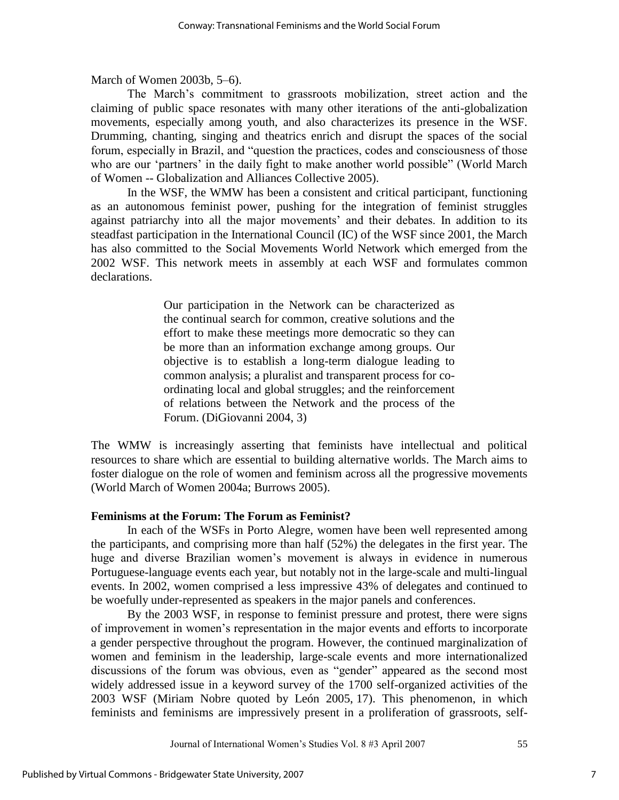March of Women 2003b, 5–6).

The March"s commitment to grassroots mobilization, street action and the claiming of public space resonates with many other iterations of the anti-globalization movements, especially among youth, and also characterizes its presence in the WSF. Drumming, chanting, singing and theatrics enrich and disrupt the spaces of the social forum, especially in Brazil, and "question the practices, codes and consciousness of those who are our 'partners' in the daily fight to make another world possible" (World March of Women -- Globalization and Alliances Collective 2005).

 In the WSF, the WMW has been a consistent and critical participant, functioning as an autonomous feminist power, pushing for the integration of feminist struggles against patriarchy into all the major movements' and their debates. In addition to its steadfast participation in the International Council (IC) of the WSF since 2001, the March has also committed to the Social Movements World Network which emerged from the 2002 WSF. This network meets in assembly at each WSF and formulates common declarations.

> Our participation in the Network can be characterized as the continual search for common, creative solutions and the effort to make these meetings more democratic so they can be more than an information exchange among groups. Our objective is to establish a long-term dialogue leading to common analysis; a pluralist and transparent process for coordinating local and global struggles; and the reinforcement of relations between the Network and the process of the Forum. (DiGiovanni 2004, 3)

The WMW is increasingly asserting that feminists have intellectual and political resources to share which are essential to building alternative worlds. The March aims to foster dialogue on the role of women and feminism across all the progressive movements (World March of Women 2004a; Burrows 2005).

#### **Feminisms at the Forum: The Forum as Feminist?**

 In each of the WSFs in Porto Alegre, women have been well represented among the participants, and comprising more than half (52%) the delegates in the first year. The huge and diverse Brazilian women"s movement is always in evidence in numerous Portuguese-language events each year, but notably not in the large-scale and multi-lingual events. In 2002, women comprised a less impressive 43% of delegates and continued to be woefully under-represented as speakers in the major panels and conferences.

 By the 2003 WSF, in response to feminist pressure and protest, there were signs of improvement in women"s representation in the major events and efforts to incorporate a gender perspective throughout the program. However, the continued marginalization of women and feminism in the leadership, large-scale events and more internationalized discussions of the forum was obvious, even as "gender" appeared as the second most widely addressed issue in a keyword survey of the 1700 self-organized activities of the 2003 WSF (Miriam Nobre quoted by León 2005, 17). This phenomenon, in which feminists and feminisms are impressively present in a proliferation of grassroots, self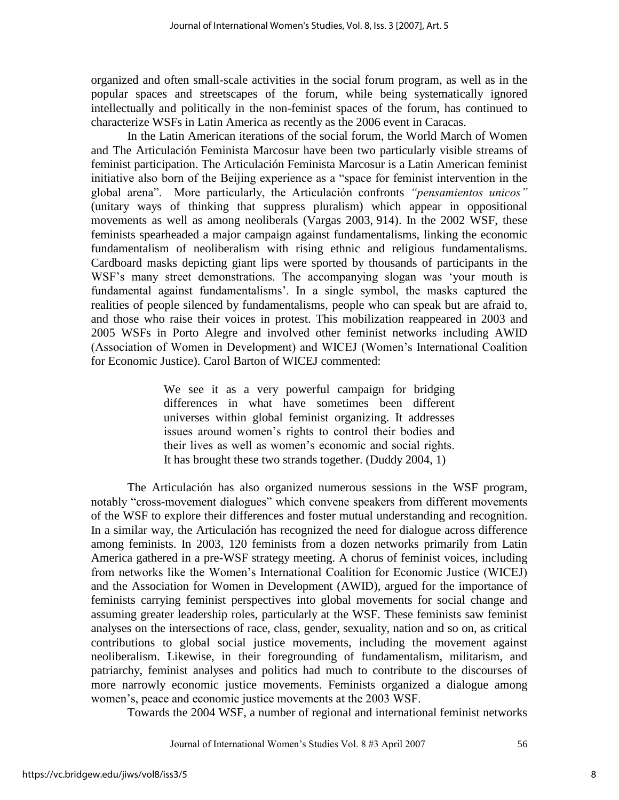organized and often small-scale activities in the social forum program, as well as in the popular spaces and streetscapes of the forum, while being systematically ignored intellectually and politically in the non-feminist spaces of the forum, has continued to characterize WSFs in Latin America as recently as the 2006 event in Caracas.

 In the Latin American iterations of the social forum, the World March of Women and The Articulación Feminista Marcosur have been two particularly visible streams of feminist participation. The Articulación Feminista Marcosur is a Latin American feminist initiative also born of the Beijing experience as a "space for feminist intervention in the global arena". More particularly, the Articulación confronts *"pensamientos unicos"* (unitary ways of thinking that suppress pluralism) which appear in oppositional movements as well as among neoliberals (Vargas 2003, 914). In the 2002 WSF, these feminists spearheaded a major campaign against fundamentalisms, linking the economic fundamentalism of neoliberalism with rising ethnic and religious fundamentalisms. Cardboard masks depicting giant lips were sported by thousands of participants in the WSF"s many street demonstrations. The accompanying slogan was "your mouth is fundamental against fundamentalisms'. In a single symbol, the masks captured the realities of people silenced by fundamentalisms, people who can speak but are afraid to, and those who raise their voices in protest. This mobilization reappeared in 2003 and 2005 WSFs in Porto Alegre and involved other feminist networks including AWID (Association of Women in Development) and WICEJ (Women"s International Coalition for Economic Justice). Carol Barton of WICEJ commented:

> We see it as a very powerful campaign for bridging differences in what have sometimes been different universes within global feminist organizing. It addresses issues around women"s rights to control their bodies and their lives as well as women"s economic and social rights. It has brought these two strands together. (Duddy 2004, 1)

 The Articulación has also organized numerous sessions in the WSF program, notably "cross-movement dialogues" which convene speakers from different movements of the WSF to explore their differences and foster mutual understanding and recognition. In a similar way, the Articulación has recognized the need for dialogue across difference among feminists. In 2003, 120 feminists from a dozen networks primarily from Latin America gathered in a pre-WSF strategy meeting. A chorus of feminist voices, including from networks like the Women"s International Coalition for Economic Justice (WICEJ) and the Association for Women in Development (AWID), argued for the importance of feminists carrying feminist perspectives into global movements for social change and assuming greater leadership roles, particularly at the WSF. These feminists saw feminist analyses on the intersections of race, class, gender, sexuality, nation and so on, as critical contributions to global social justice movements, including the movement against neoliberalism. Likewise, in their foregrounding of fundamentalism, militarism, and patriarchy, feminist analyses and politics had much to contribute to the discourses of more narrowly economic justice movements. Feminists organized a dialogue among women"s, peace and economic justice movements at the 2003 WSF.

Towards the 2004 WSF, a number of regional and international feminist networks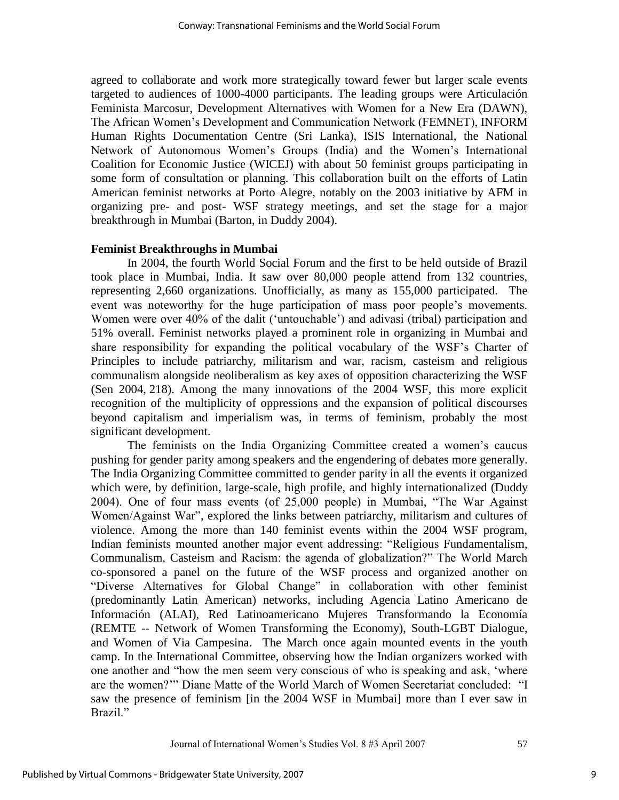agreed to collaborate and work more strategically toward fewer but larger scale events targeted to audiences of 1000-4000 participants. The leading groups were Articulación Feminista Marcosur, Development Alternatives with Women for a New Era (DAWN), The African Women"s Development and Communication Network (FEMNET), INFORM Human Rights Documentation Centre (Sri Lanka), ISIS International, the National Network of Autonomous Women"s Groups (India) and the Women"s International Coalition for Economic Justice (WICEJ) with about 50 feminist groups participating in some form of consultation or planning. This collaboration built on the efforts of Latin American feminist networks at Porto Alegre, notably on the 2003 initiative by AFM in organizing pre- and post- WSF strategy meetings, and set the stage for a major breakthrough in Mumbai (Barton, in Duddy 2004).

#### **Feminist Breakthroughs in Mumbai**

 In 2004, the fourth World Social Forum and the first to be held outside of Brazil took place in Mumbai, India. It saw over 80,000 people attend from 132 countries, representing 2,660 organizations. Unofficially, as many as 155,000 participated. The event was noteworthy for the huge participation of mass poor people's movements. Women were over 40% of the dalit ("untouchable") and adivasi (tribal) participation and 51% overall. Feminist networks played a prominent role in organizing in Mumbai and share responsibility for expanding the political vocabulary of the WSF"s Charter of Principles to include patriarchy, militarism and war, racism, casteism and religious communalism alongside neoliberalism as key axes of opposition characterizing the WSF (Sen 2004, 218). Among the many innovations of the 2004 WSF, this more explicit recognition of the multiplicity of oppressions and the expansion of political discourses beyond capitalism and imperialism was, in terms of feminism, probably the most significant development.

The feminists on the India Organizing Committee created a women"s caucus pushing for gender parity among speakers and the engendering of debates more generally. The India Organizing Committee committed to gender parity in all the events it organized which were, by definition, large-scale, high profile, and highly internationalized (Duddy 2004). One of four mass events (of 25,000 people) in Mumbai, "The War Against Women/Against War", explored the links between patriarchy, militarism and cultures of violence. Among the more than 140 feminist events within the 2004 WSF program, Indian feminists mounted another major event addressing: "Religious Fundamentalism, Communalism, Casteism and Racism: the agenda of globalization?" The World March co-sponsored a panel on the future of the WSF process and organized another on "Diverse Alternatives for Global Change" in collaboration with other feminist (predominantly Latin American) networks, including Agencia Latino Americano de Información (ALAI), Red Latinoamericano Mujeres Transformando la Economía (REMTE -- Network of Women Transforming the Economy), South-LGBT Dialogue, and Women of Via Campesina. The March once again mounted events in the youth camp. In the International Committee, observing how the Indian organizers worked with one another and "how the men seem very conscious of who is speaking and ask, "where are the women?"" Diane Matte of the World March of Women Secretariat concluded: "I saw the presence of feminism [in the 2004 WSF in Mumbai] more than I ever saw in Brazil<sup>"</sup>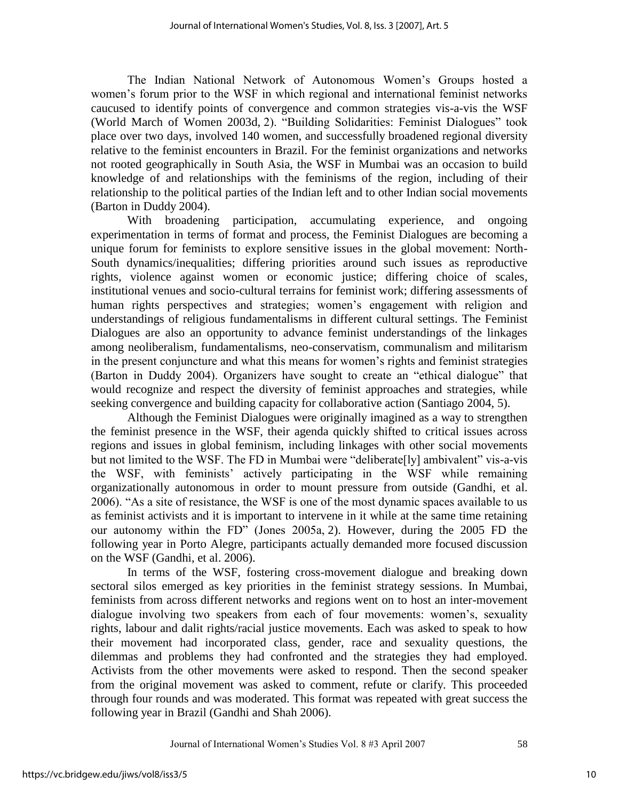The Indian National Network of Autonomous Women"s Groups hosted a women's forum prior to the WSF in which regional and international feminist networks caucused to identify points of convergence and common strategies vis-a-vis the WSF (World March of Women 2003d, 2). "Building Solidarities: Feminist Dialogues" took place over two days, involved 140 women, and successfully broadened regional diversity relative to the feminist encounters in Brazil. For the feminist organizations and networks not rooted geographically in South Asia, the WSF in Mumbai was an occasion to build knowledge of and relationships with the feminisms of the region, including of their relationship to the political parties of the Indian left and to other Indian social movements (Barton in Duddy 2004).

 With broadening participation, accumulating experience, and ongoing experimentation in terms of format and process, the Feminist Dialogues are becoming a unique forum for feminists to explore sensitive issues in the global movement: North-South dynamics/inequalities; differing priorities around such issues as reproductive rights, violence against women or economic justice; differing choice of scales, institutional venues and socio-cultural terrains for feminist work; differing assessments of human rights perspectives and strategies; women's engagement with religion and understandings of religious fundamentalisms in different cultural settings. The Feminist Dialogues are also an opportunity to advance feminist understandings of the linkages among neoliberalism, fundamentalisms, neo-conservatism, communalism and militarism in the present conjuncture and what this means for women"s rights and feminist strategies (Barton in Duddy 2004). Organizers have sought to create an "ethical dialogue" that would recognize and respect the diversity of feminist approaches and strategies, while seeking convergence and building capacity for collaborative action (Santiago 2004, 5).

 Although the Feminist Dialogues were originally imagined as a way to strengthen the feminist presence in the WSF, their agenda quickly shifted to critical issues across regions and issues in global feminism, including linkages with other social movements but not limited to the WSF. The FD in Mumbai were "deliberate[ly] ambivalent" vis-a-vis the WSF, with feminists" actively participating in the WSF while remaining organizationally autonomous in order to mount pressure from outside (Gandhi, et al. 2006). "As a site of resistance, the WSF is one of the most dynamic spaces available to us as feminist activists and it is important to intervene in it while at the same time retaining our autonomy within the FD" (Jones 2005a, 2). However, during the 2005 FD the following year in Porto Alegre, participants actually demanded more focused discussion on the WSF (Gandhi, et al. 2006).

 In terms of the WSF, fostering cross-movement dialogue and breaking down sectoral silos emerged as key priorities in the feminist strategy sessions. In Mumbai, feminists from across different networks and regions went on to host an inter-movement dialogue involving two speakers from each of four movements: women"s, sexuality rights, labour and dalit rights/racial justice movements. Each was asked to speak to how their movement had incorporated class, gender, race and sexuality questions, the dilemmas and problems they had confronted and the strategies they had employed. Activists from the other movements were asked to respond. Then the second speaker from the original movement was asked to comment, refute or clarify. This proceeded through four rounds and was moderated. This format was repeated with great success the following year in Brazil (Gandhi and Shah 2006).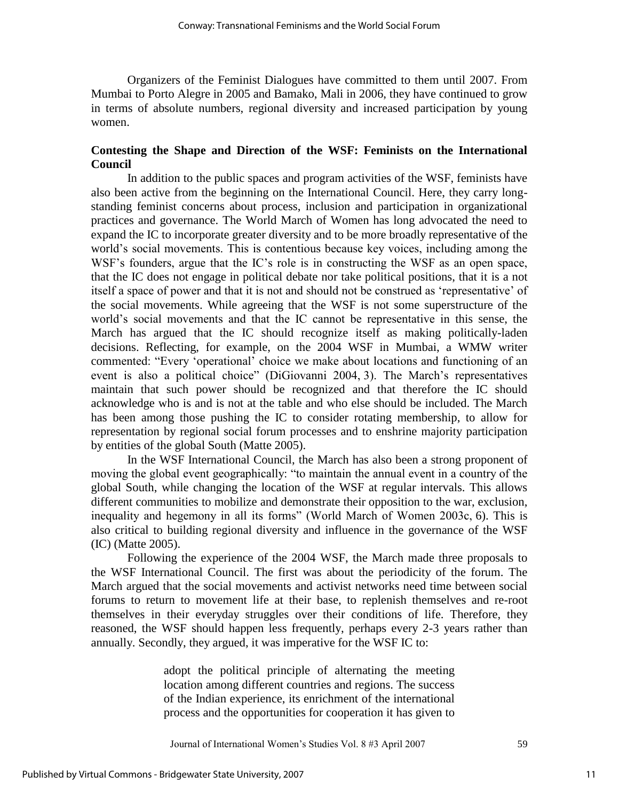Organizers of the Feminist Dialogues have committed to them until 2007. From Mumbai to Porto Alegre in 2005 and Bamako, Mali in 2006, they have continued to grow in terms of absolute numbers, regional diversity and increased participation by young women.

## **Contesting the Shape and Direction of the WSF: Feminists on the International Council**

 In addition to the public spaces and program activities of the WSF, feminists have also been active from the beginning on the International Council. Here, they carry longstanding feminist concerns about process, inclusion and participation in organizational practices and governance. The World March of Women has long advocated the need to expand the IC to incorporate greater diversity and to be more broadly representative of the world"s social movements. This is contentious because key voices, including among the WSF's founders, argue that the IC's role is in constructing the WSF as an open space, that the IC does not engage in political debate nor take political positions, that it is a not itself a space of power and that it is not and should not be construed as "representative" of the social movements. While agreeing that the WSF is not some superstructure of the world"s social movements and that the IC cannot be representative in this sense, the March has argued that the IC should recognize itself as making politically-laden decisions. Reflecting, for example, on the 2004 WSF in Mumbai, a WMW writer commented: "Every "operational" choice we make about locations and functioning of an event is also a political choice" (DiGiovanni 2004, 3). The March"s representatives maintain that such power should be recognized and that therefore the IC should acknowledge who is and is not at the table and who else should be included. The March has been among those pushing the IC to consider rotating membership, to allow for representation by regional social forum processes and to enshrine majority participation by entities of the global South (Matte 2005).

 In the WSF International Council, the March has also been a strong proponent of moving the global event geographically: "to maintain the annual event in a country of the global South, while changing the location of the WSF at regular intervals. This allows different communities to mobilize and demonstrate their opposition to the war, exclusion, inequality and hegemony in all its forms" (World March of Women 2003c, 6). This is also critical to building regional diversity and influence in the governance of the WSF (IC) (Matte 2005).

 Following the experience of the 2004 WSF, the March made three proposals to the WSF International Council. The first was about the periodicity of the forum. The March argued that the social movements and activist networks need time between social forums to return to movement life at their base, to replenish themselves and re-root themselves in their everyday struggles over their conditions of life. Therefore, they reasoned, the WSF should happen less frequently, perhaps every 2-3 years rather than annually. Secondly, they argued, it was imperative for the WSF IC to:

> adopt the political principle of alternating the meeting location among different countries and regions. The success of the Indian experience, its enrichment of the international process and the opportunities for cooperation it has given to

Journal of International Women"s Studies Vol. 8 #3 April 2007 59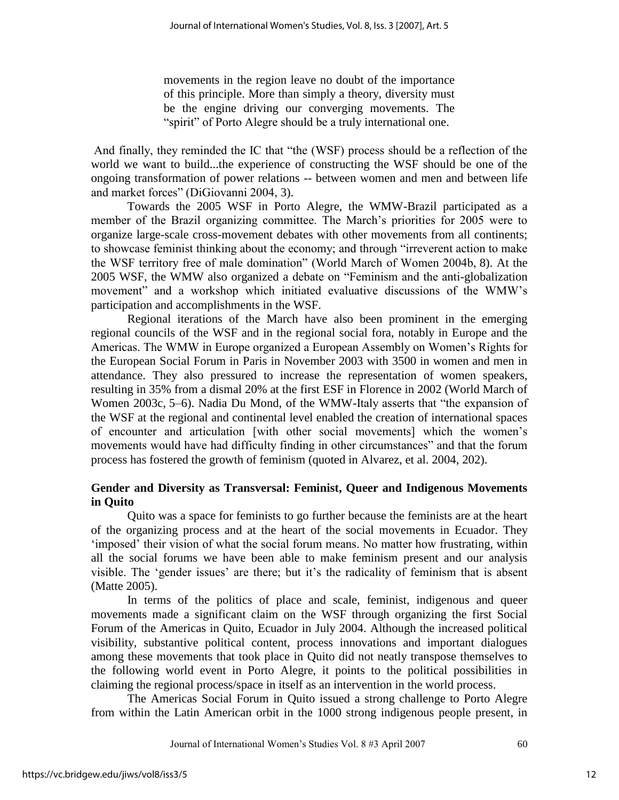movements in the region leave no doubt of the importance of this principle. More than simply a theory, diversity must be the engine driving our converging movements. The "spirit" of Porto Alegre should be a truly international one.

And finally, they reminded the IC that "the (WSF) process should be a reflection of the world we want to build...the experience of constructing the WSF should be one of the ongoing transformation of power relations -- between women and men and between life and market forces" (DiGiovanni 2004, 3).

 Towards the 2005 WSF in Porto Alegre, the WMW-Brazil participated as a member of the Brazil organizing committee. The March"s priorities for 2005 were to organize large-scale cross-movement debates with other movements from all continents; to showcase feminist thinking about the economy; and through "irreverent action to make the WSF territory free of male domination" (World March of Women 2004b, 8). At the 2005 WSF, the WMW also organized a debate on "Feminism and the anti-globalization movement" and a workshop which initiated evaluative discussions of the WMW"s participation and accomplishments in the WSF.

 Regional iterations of the March have also been prominent in the emerging regional councils of the WSF and in the regional social fora, notably in Europe and the Americas. The WMW in Europe organized a European Assembly on Women"s Rights for the European Social Forum in Paris in November 2003 with 3500 in women and men in attendance. They also pressured to increase the representation of women speakers, resulting in 35% from a dismal 20% at the first ESF in Florence in 2002 (World March of Women 2003c, 5–6). Nadia Du Mond, of the WMW-Italy asserts that "the expansion of the WSF at the regional and continental level enabled the creation of international spaces of encounter and articulation [with other social movements] which the women"s movements would have had difficulty finding in other circumstances" and that the forum process has fostered the growth of feminism (quoted in Alvarez, et al. 2004, 202).

## **Gender and Diversity as Transversal: Feminist, Queer and Indigenous Movements in Quito**

Quito was a space for feminists to go further because the feminists are at the heart of the organizing process and at the heart of the social movements in Ecuador. They "imposed" their vision of what the social forum means. No matter how frustrating, within all the social forums we have been able to make feminism present and our analysis visible. The 'gender issues' are there; but it's the radicality of feminism that is absent (Matte 2005).

 In terms of the politics of place and scale, feminist, indigenous and queer movements made a significant claim on the WSF through organizing the first Social Forum of the Americas in Quito, Ecuador in July 2004. Although the increased political visibility, substantive political content, process innovations and important dialogues among these movements that took place in Quito did not neatly transpose themselves to the following world event in Porto Alegre, it points to the political possibilities in claiming the regional process/space in itself as an intervention in the world process.

 The Americas Social Forum in Quito issued a strong challenge to Porto Alegre from within the Latin American orbit in the 1000 strong indigenous people present, in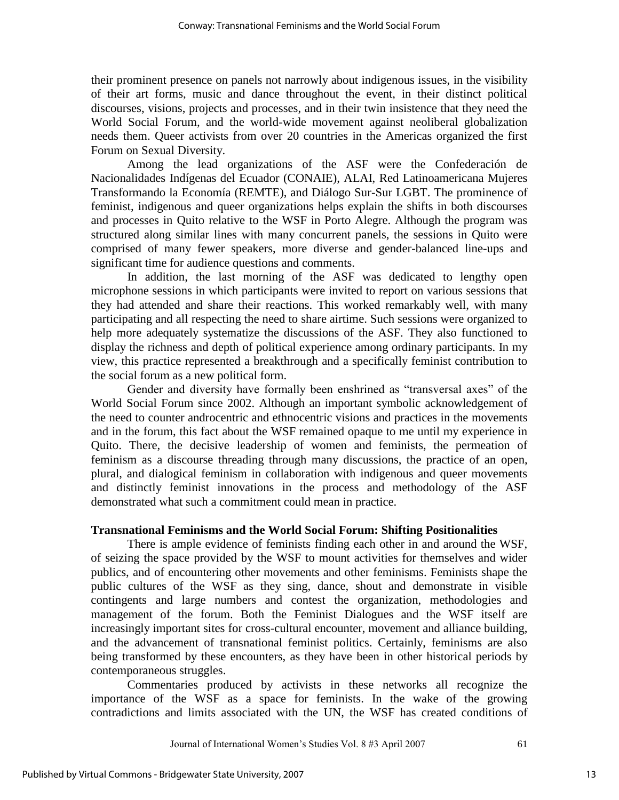their prominent presence on panels not narrowly about indigenous issues, in the visibility of their art forms, music and dance throughout the event, in their distinct political discourses, visions, projects and processes, and in their twin insistence that they need the World Social Forum, and the world-wide movement against neoliberal globalization needs them. Queer activists from over 20 countries in the Americas organized the first Forum on Sexual Diversity.

 Among the lead organizations of the ASF were the Confederación de Nacionalidades Indígenas del Ecuador (CONAIE), ALAI, Red Latinoamericana Mujeres Transformando la Economía (REMTE), and Diálogo Sur-Sur LGBT. The prominence of feminist, indigenous and queer organizations helps explain the shifts in both discourses and processes in Quito relative to the WSF in Porto Alegre. Although the program was structured along similar lines with many concurrent panels, the sessions in Quito were comprised of many fewer speakers, more diverse and gender-balanced line-ups and significant time for audience questions and comments.

 In addition, the last morning of the ASF was dedicated to lengthy open microphone sessions in which participants were invited to report on various sessions that they had attended and share their reactions. This worked remarkably well, with many participating and all respecting the need to share airtime. Such sessions were organized to help more adequately systematize the discussions of the ASF. They also functioned to display the richness and depth of political experience among ordinary participants. In my view, this practice represented a breakthrough and a specifically feminist contribution to the social forum as a new political form.

Gender and diversity have formally been enshrined as "transversal axes" of the World Social Forum since 2002. Although an important symbolic acknowledgement of the need to counter androcentric and ethnocentric visions and practices in the movements and in the forum, this fact about the WSF remained opaque to me until my experience in Quito. There, the decisive leadership of women and feminists, the permeation of feminism as a discourse threading through many discussions, the practice of an open, plural, and dialogical feminism in collaboration with indigenous and queer movements and distinctly feminist innovations in the process and methodology of the ASF demonstrated what such a commitment could mean in practice.

#### **Transnational Feminisms and the World Social Forum: Shifting Positionalities**

 There is ample evidence of feminists finding each other in and around the WSF, of seizing the space provided by the WSF to mount activities for themselves and wider publics, and of encountering other movements and other feminisms. Feminists shape the public cultures of the WSF as they sing, dance, shout and demonstrate in visible contingents and large numbers and contest the organization, methodologies and management of the forum. Both the Feminist Dialogues and the WSF itself are increasingly important sites for cross-cultural encounter, movement and alliance building, and the advancement of transnational feminist politics. Certainly, feminisms are also being transformed by these encounters, as they have been in other historical periods by contemporaneous struggles.

 Commentaries produced by activists in these networks all recognize the importance of the WSF as a space for feminists. In the wake of the growing contradictions and limits associated with the UN, the WSF has created conditions of

Journal of International Women's Studies Vol. 8 #3 April 2007 61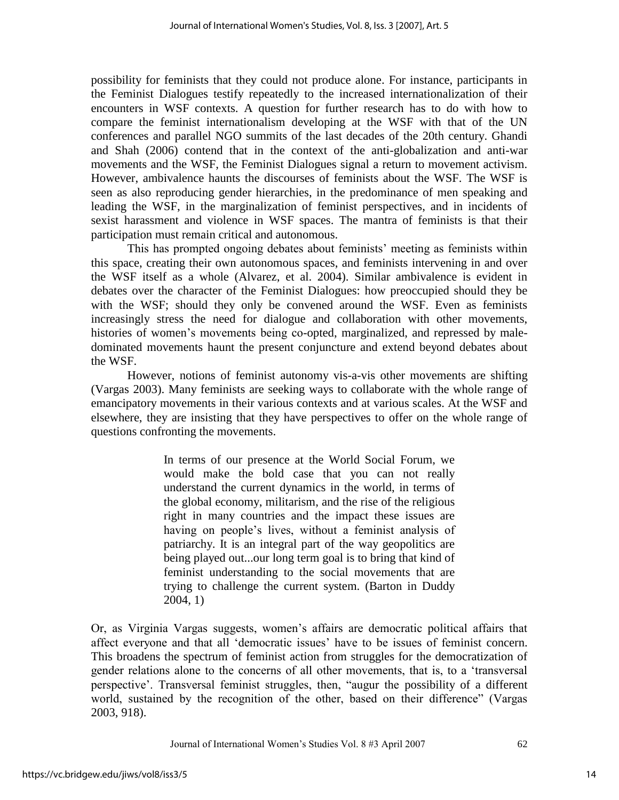possibility for feminists that they could not produce alone. For instance, participants in the Feminist Dialogues testify repeatedly to the increased internationalization of their encounters in WSF contexts. A question for further research has to do with how to compare the feminist internationalism developing at the WSF with that of the UN conferences and parallel NGO summits of the last decades of the 20th century. Ghandi and Shah (2006) contend that in the context of the anti-globalization and anti-war movements and the WSF, the Feminist Dialogues signal a return to movement activism. However, ambivalence haunts the discourses of feminists about the WSF. The WSF is seen as also reproducing gender hierarchies, in the predominance of men speaking and leading the WSF, in the marginalization of feminist perspectives, and in incidents of sexist harassment and violence in WSF spaces. The mantra of feminists is that their participation must remain critical and autonomous.

 This has prompted ongoing debates about feminists" meeting as feminists within this space, creating their own autonomous spaces, and feminists intervening in and over the WSF itself as a whole (Alvarez, et al. 2004). Similar ambivalence is evident in debates over the character of the Feminist Dialogues: how preoccupied should they be with the WSF; should they only be convened around the WSF. Even as feminists increasingly stress the need for dialogue and collaboration with other movements, histories of women's movements being co-opted, marginalized, and repressed by maledominated movements haunt the present conjuncture and extend beyond debates about the WSF.

 However, notions of feminist autonomy vis-a-vis other movements are shifting (Vargas 2003). Many feminists are seeking ways to collaborate with the whole range of emancipatory movements in their various contexts and at various scales. At the WSF and elsewhere, they are insisting that they have perspectives to offer on the whole range of questions confronting the movements.

> In terms of our presence at the World Social Forum, we would make the bold case that you can not really understand the current dynamics in the world, in terms of the global economy, militarism, and the rise of the religious right in many countries and the impact these issues are having on people's lives, without a feminist analysis of patriarchy. It is an integral part of the way geopolitics are being played out...our long term goal is to bring that kind of feminist understanding to the social movements that are trying to challenge the current system. (Barton in Duddy 2004, 1)

Or, as Virginia Vargas suggests, women"s affairs are democratic political affairs that affect everyone and that all "democratic issues" have to be issues of feminist concern. This broadens the spectrum of feminist action from struggles for the democratization of gender relations alone to the concerns of all other movements, that is, to a "transversal perspective". Transversal feminist struggles, then, "augur the possibility of a different world, sustained by the recognition of the other, based on their difference" (Vargas 2003, 918).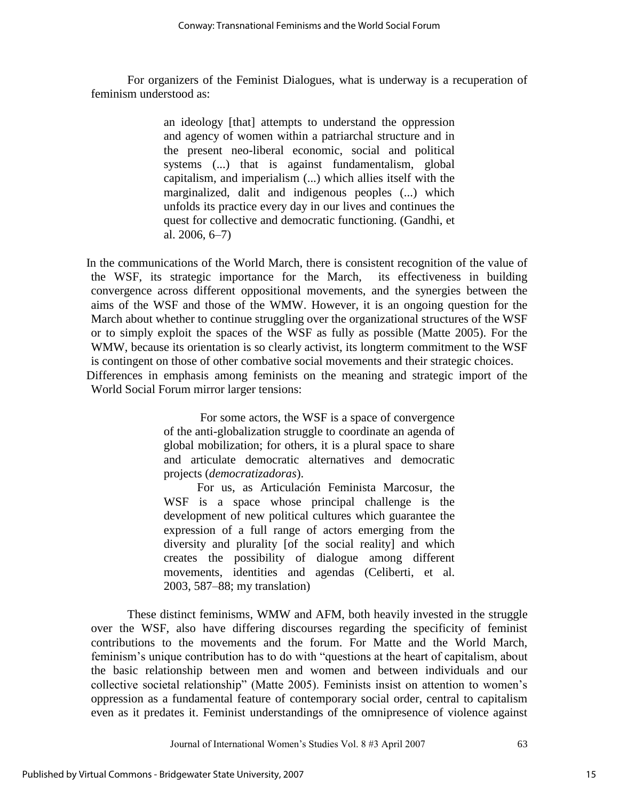For organizers of the Feminist Dialogues, what is underway is a recuperation of feminism understood as:

> an ideology [that] attempts to understand the oppression and agency of women within a patriarchal structure and in the present neo-liberal economic, social and political systems (...) that is against fundamentalism, global capitalism, and imperialism (...) which allies itself with the marginalized, dalit and indigenous peoples (...) which unfolds its practice every day in our lives and continues the quest for collective and democratic functioning. (Gandhi, et al. 2006, 6–7)

 In the communications of the World March, there is consistent recognition of the value of the WSF, its strategic importance for the March, its effectiveness in building convergence across different oppositional movements, and the synergies between the aims of the WSF and those of the WMW. However, it is an ongoing question for the March about whether to continue struggling over the organizational structures of the WSF or to simply exploit the spaces of the WSF as fully as possible (Matte 2005). For the WMW, because its orientation is so clearly activist, its longterm commitment to the WSF is contingent on those of other combative social movements and their strategic choices. Differences in emphasis among feminists on the meaning and strategic import of the World Social Forum mirror larger tensions:

> For some actors, the WSF is a space of convergence of the anti-globalization struggle to coordinate an agenda of global mobilization; for others, it is a plural space to share and articulate democratic alternatives and democratic projects (*democratizadoras*).

> For us, as Articulación Feminista Marcosur, the WSF is a space whose principal challenge is the development of new political cultures which guarantee the expression of a full range of actors emerging from the diversity and plurality [of the social reality] and which creates the possibility of dialogue among different movements, identities and agendas (Celiberti, et al. 2003, 587–88; my translation)

 These distinct feminisms, WMW and AFM, both heavily invested in the struggle over the WSF, also have differing discourses regarding the specificity of feminist contributions to the movements and the forum. For Matte and the World March, feminism"s unique contribution has to do with "questions at the heart of capitalism, about the basic relationship between men and women and between individuals and our collective societal relationship" (Matte 2005). Feminists insist on attention to women"s oppression as a fundamental feature of contemporary social order, central to capitalism even as it predates it. Feminist understandings of the omnipresence of violence against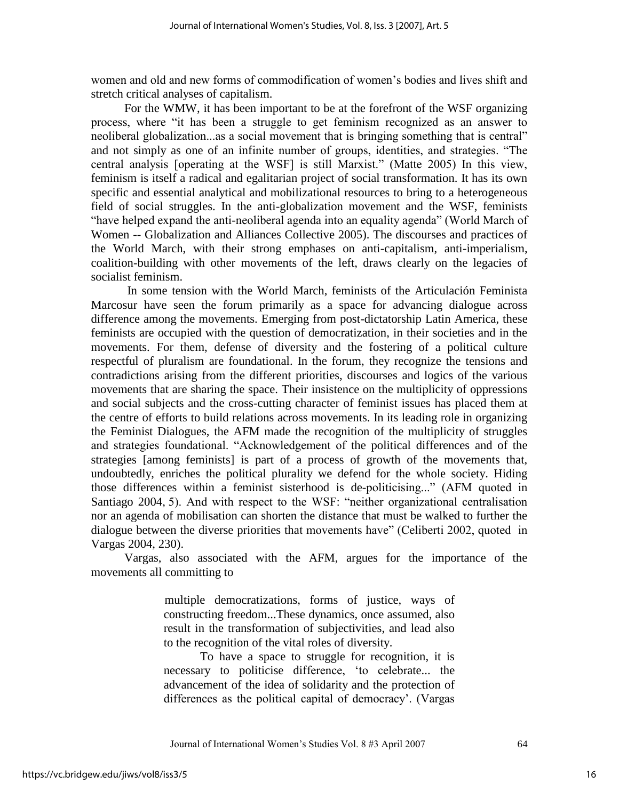women and old and new forms of commodification of women"s bodies and lives shift and stretch critical analyses of capitalism.

 For the WMW, it has been important to be at the forefront of the WSF organizing process, where "it has been a struggle to get feminism recognized as an answer to neoliberal globalization...as a social movement that is bringing something that is central" and not simply as one of an infinite number of groups, identities, and strategies. "The central analysis [operating at the WSF] is still Marxist." (Matte 2005) In this view, feminism is itself a radical and egalitarian project of social transformation. It has its own specific and essential analytical and mobilizational resources to bring to a heterogeneous field of social struggles. In the anti-globalization movement and the WSF, feminists "have helped expand the anti-neoliberal agenda into an equality agenda" (World March of Women -- Globalization and Alliances Collective 2005). The discourses and practices of the World March, with their strong emphases on anti-capitalism, anti-imperialism, coalition-building with other movements of the left, draws clearly on the legacies of socialist feminism.

 In some tension with the World March, feminists of the Articulación Feminista Marcosur have seen the forum primarily as a space for advancing dialogue across difference among the movements. Emerging from post-dictatorship Latin America, these feminists are occupied with the question of democratization, in their societies and in the movements. For them, defense of diversity and the fostering of a political culture respectful of pluralism are foundational. In the forum, they recognize the tensions and contradictions arising from the different priorities, discourses and logics of the various movements that are sharing the space. Their insistence on the multiplicity of oppressions and social subjects and the cross-cutting character of feminist issues has placed them at the centre of efforts to build relations across movements. In its leading role in organizing the Feminist Dialogues, the AFM made the recognition of the multiplicity of struggles and strategies foundational. "Acknowledgement of the political differences and of the strategies [among feminists] is part of a process of growth of the movements that, undoubtedly, enriches the political plurality we defend for the whole society. Hiding those differences within a feminist sisterhood is de-politicising..." (AFM quoted in Santiago 2004, 5). And with respect to the WSF: "neither organizational centralisation nor an agenda of mobilisation can shorten the distance that must be walked to further the dialogue between the diverse priorities that movements have" (Celiberti 2002, quoted in Vargas 2004, 230).

 Vargas, also associated with the AFM, argues for the importance of the movements all committing to

> multiple democratizations, forms of justice, ways of constructing freedom...These dynamics, once assumed, also result in the transformation of subjectivities, and lead also to the recognition of the vital roles of diversity.

> To have a space to struggle for recognition, it is necessary to politicise difference, "to celebrate... the advancement of the idea of solidarity and the protection of differences as the political capital of democracy'. (Vargas

Journal of International Women"s Studies Vol. 8 #3 April 2007 64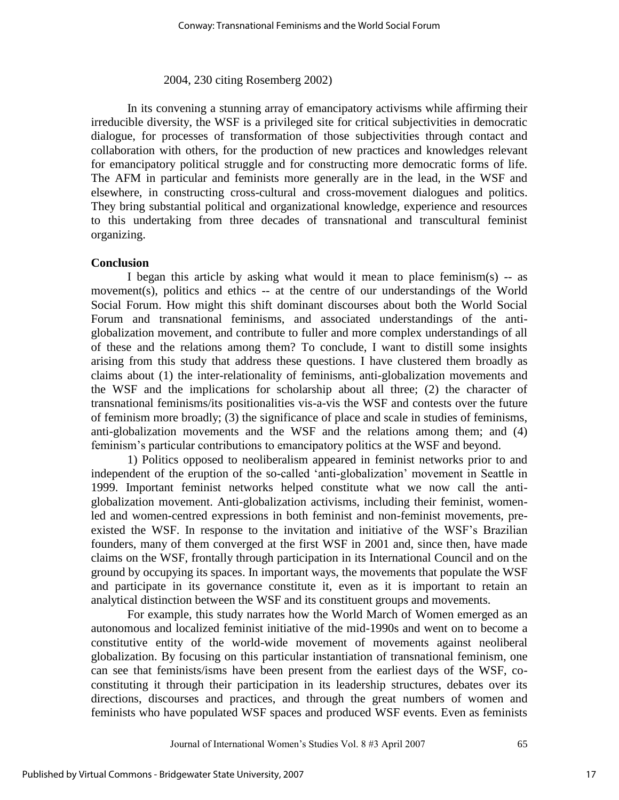#### 2004, 230 citing Rosemberg 2002)

In its convening a stunning array of emancipatory activisms while affirming their irreducible diversity, the WSF is a privileged site for critical subjectivities in democratic dialogue, for processes of transformation of those subjectivities through contact and collaboration with others, for the production of new practices and knowledges relevant for emancipatory political struggle and for constructing more democratic forms of life. The AFM in particular and feminists more generally are in the lead, in the WSF and elsewhere, in constructing cross-cultural and cross-movement dialogues and politics. They bring substantial political and organizational knowledge, experience and resources to this undertaking from three decades of transnational and transcultural feminist organizing.

#### **Conclusion**

I began this article by asking what would it mean to place feminism(s) -- as movement(s), politics and ethics -- at the centre of our understandings of the World Social Forum. How might this shift dominant discourses about both the World Social Forum and transnational feminisms, and associated understandings of the antiglobalization movement, and contribute to fuller and more complex understandings of all of these and the relations among them? To conclude, I want to distill some insights arising from this study that address these questions. I have clustered them broadly as claims about (1) the inter-relationality of feminisms, anti-globalization movements and the WSF and the implications for scholarship about all three; (2) the character of transnational feminisms/its positionalities vis-a-vis the WSF and contests over the future of feminism more broadly; (3) the significance of place and scale in studies of feminisms, anti-globalization movements and the WSF and the relations among them; and (4) feminism"s particular contributions to emancipatory politics at the WSF and beyond.

 1) Politics opposed to neoliberalism appeared in feminist networks prior to and independent of the eruption of the so-called "anti-globalization" movement in Seattle in 1999. Important feminist networks helped constitute what we now call the antiglobalization movement. Anti-globalization activisms, including their feminist, womenled and women-centred expressions in both feminist and non-feminist movements, preexisted the WSF. In response to the invitation and initiative of the WSF"s Brazilian founders, many of them converged at the first WSF in 2001 and, since then, have made claims on the WSF, frontally through participation in its International Council and on the ground by occupying its spaces. In important ways, the movements that populate the WSF and participate in its governance constitute it, even as it is important to retain an analytical distinction between the WSF and its constituent groups and movements.

For example, this study narrates how the World March of Women emerged as an autonomous and localized feminist initiative of the mid-1990s and went on to become a constitutive entity of the world-wide movement of movements against neoliberal globalization. By focusing on this particular instantiation of transnational feminism, one can see that feminists/isms have been present from the earliest days of the WSF, coconstituting it through their participation in its leadership structures, debates over its directions, discourses and practices, and through the great numbers of women and feminists who have populated WSF spaces and produced WSF events. Even as feminists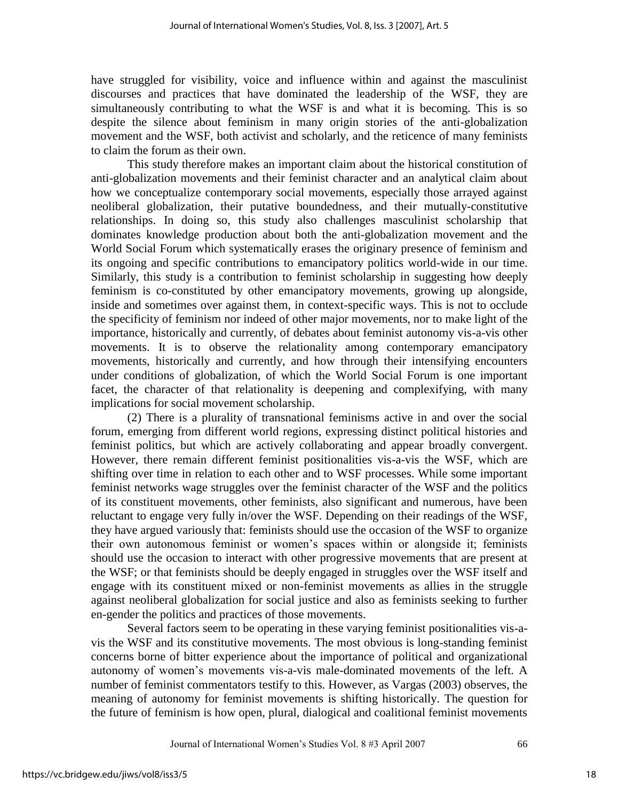have struggled for visibility, voice and influence within and against the masculinist discourses and practices that have dominated the leadership of the WSF, they are simultaneously contributing to what the WSF is and what it is becoming. This is so despite the silence about feminism in many origin stories of the anti-globalization movement and the WSF, both activist and scholarly, and the reticence of many feminists to claim the forum as their own.

This study therefore makes an important claim about the historical constitution of anti-globalization movements and their feminist character and an analytical claim about how we conceptualize contemporary social movements, especially those arrayed against neoliberal globalization, their putative boundedness, and their mutually-constitutive relationships. In doing so, this study also challenges masculinist scholarship that dominates knowledge production about both the anti-globalization movement and the World Social Forum which systematically erases the originary presence of feminism and its ongoing and specific contributions to emancipatory politics world-wide in our time. Similarly, this study is a contribution to feminist scholarship in suggesting how deeply feminism is co-constituted by other emancipatory movements, growing up alongside, inside and sometimes over against them, in context-specific ways. This is not to occlude the specificity of feminism nor indeed of other major movements, nor to make light of the importance, historically and currently, of debates about feminist autonomy vis-a-vis other movements. It is to observe the relationality among contemporary emancipatory movements, historically and currently, and how through their intensifying encounters under conditions of globalization, of which the World Social Forum is one important facet, the character of that relationality is deepening and complexifying, with many implications for social movement scholarship.

(2) There is a plurality of transnational feminisms active in and over the social forum, emerging from different world regions, expressing distinct political histories and feminist politics, but which are actively collaborating and appear broadly convergent. However, there remain different feminist positionalities vis-a-vis the WSF, which are shifting over time in relation to each other and to WSF processes. While some important feminist networks wage struggles over the feminist character of the WSF and the politics of its constituent movements, other feminists, also significant and numerous, have been reluctant to engage very fully in/over the WSF. Depending on their readings of the WSF, they have argued variously that: feminists should use the occasion of the WSF to organize their own autonomous feminist or women"s spaces within or alongside it; feminists should use the occasion to interact with other progressive movements that are present at the WSF; or that feminists should be deeply engaged in struggles over the WSF itself and engage with its constituent mixed or non-feminist movements as allies in the struggle against neoliberal globalization for social justice and also as feminists seeking to further en-gender the politics and practices of those movements.

Several factors seem to be operating in these varying feminist positionalities vis-avis the WSF and its constitutive movements. The most obvious is long-standing feminist concerns borne of bitter experience about the importance of political and organizational autonomy of women"s movements vis-a-vis male-dominated movements of the left. A number of feminist commentators testify to this. However, as Vargas (2003) observes, the meaning of autonomy for feminist movements is shifting historically. The question for the future of feminism is how open, plural, dialogical and coalitional feminist movements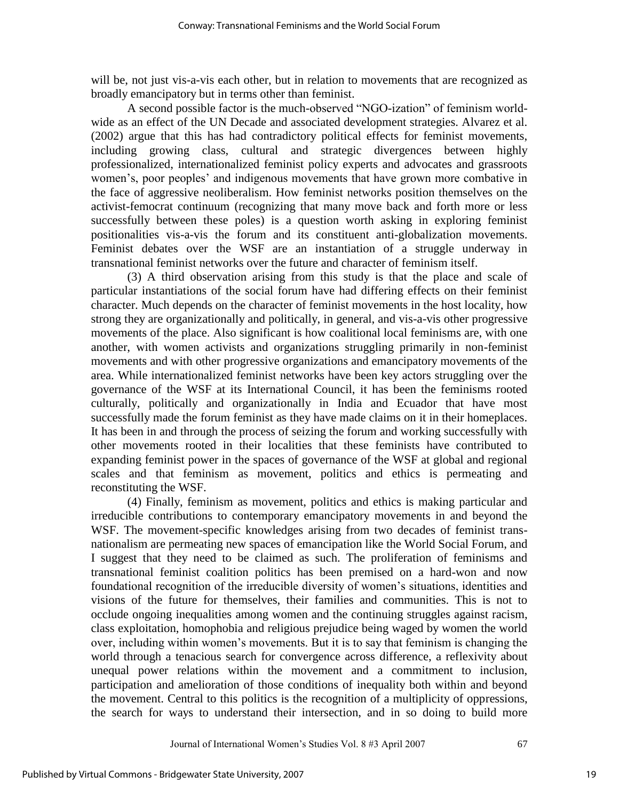will be, not just vis-a-vis each other, but in relation to movements that are recognized as broadly emancipatory but in terms other than feminist.

A second possible factor is the much-observed "NGO-ization" of feminism worldwide as an effect of the UN Decade and associated development strategies. Alvarez et al. (2002) argue that this has had contradictory political effects for feminist movements, including growing class, cultural and strategic divergences between highly professionalized, internationalized feminist policy experts and advocates and grassroots women's, poor peoples' and indigenous movements that have grown more combative in the face of aggressive neoliberalism. How feminist networks position themselves on the activist-femocrat continuum (recognizing that many move back and forth more or less successfully between these poles) is a question worth asking in exploring feminist positionalities vis-a-vis the forum and its constituent anti-globalization movements. Feminist debates over the WSF are an instantiation of a struggle underway in transnational feminist networks over the future and character of feminism itself.

(3) A third observation arising from this study is that the place and scale of particular instantiations of the social forum have had differing effects on their feminist character. Much depends on the character of feminist movements in the host locality, how strong they are organizationally and politically, in general, and vis-a-vis other progressive movements of the place. Also significant is how coalitional local feminisms are, with one another, with women activists and organizations struggling primarily in non-feminist movements and with other progressive organizations and emancipatory movements of the area. While internationalized feminist networks have been key actors struggling over the governance of the WSF at its International Council, it has been the feminisms rooted culturally, politically and organizationally in India and Ecuador that have most successfully made the forum feminist as they have made claims on it in their homeplaces. It has been in and through the process of seizing the forum and working successfully with other movements rooted in their localities that these feminists have contributed to expanding feminist power in the spaces of governance of the WSF at global and regional scales and that feminism as movement, politics and ethics is permeating and reconstituting the WSF.

(4) Finally, feminism as movement, politics and ethics is making particular and irreducible contributions to contemporary emancipatory movements in and beyond the WSF. The movement-specific knowledges arising from two decades of feminist transnationalism are permeating new spaces of emancipation like the World Social Forum, and I suggest that they need to be claimed as such. The proliferation of feminisms and transnational feminist coalition politics has been premised on a hard-won and now foundational recognition of the irreducible diversity of women"s situations, identities and visions of the future for themselves, their families and communities. This is not to occlude ongoing inequalities among women and the continuing struggles against racism, class exploitation, homophobia and religious prejudice being waged by women the world over, including within women"s movements. But it is to say that feminism is changing the world through a tenacious search for convergence across difference, a reflexivity about unequal power relations within the movement and a commitment to inclusion, participation and amelioration of those conditions of inequality both within and beyond the movement. Central to this politics is the recognition of a multiplicity of oppressions, the search for ways to understand their intersection, and in so doing to build more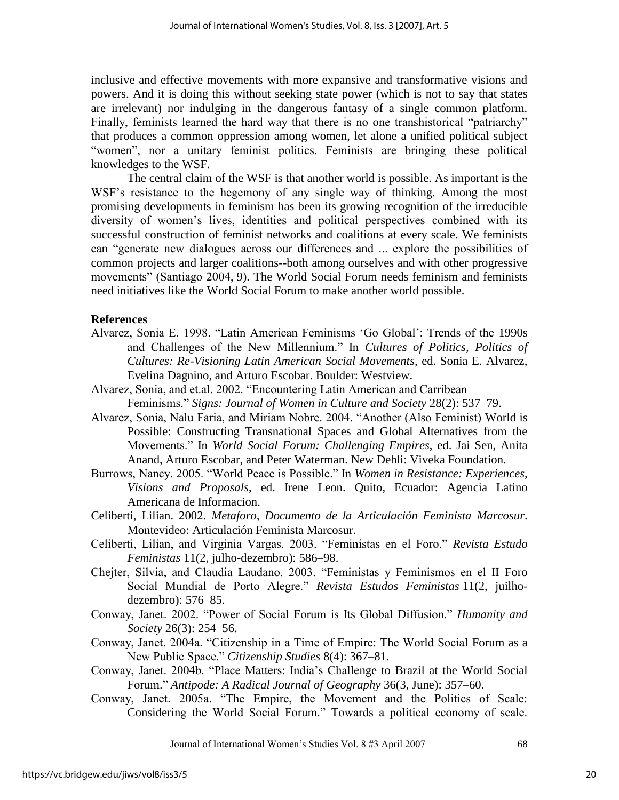inclusive and effective movements with more expansive and transformative visions and powers. And it is doing this without seeking state power (which is not to say that states are irrelevant) nor indulging in the dangerous fantasy of a single common platform. Finally, feminists learned the hard way that there is no one transhistorical "patriarchy" that produces a common oppression among women, let alone a unified political subject "women", nor a unitary feminist politics. Feminists are bringing these political knowledges to the WSF.

 The central claim of the WSF is that another world is possible. As important is the WSF"s resistance to the hegemony of any single way of thinking. Among the most promising developments in feminism has been its growing recognition of the irreducible diversity of women"s lives, identities and political perspectives combined with its successful construction of feminist networks and coalitions at every scale. We feminists can "generate new dialogues across our differences and ... explore the possibilities of common projects and larger coalitions--both among ourselves and with other progressive movements" (Santiago 2004, 9). The World Social Forum needs feminism and feminists need initiatives like the World Social Forum to make another world possible.

## **References**

- Alvarez, Sonia E. 1998. "Latin American Feminisms "Go Global": Trends of the 1990s and Challenges of the New Millennium." In *Cultures of Politics, Politics of Cultures: Re-Visioning Latin American Social Movements*, ed. Sonia E. Alvarez, Evelina Dagnino, and Arturo Escobar. Boulder: Westview.
- Alvarez, Sonia, and et.al. 2002. "Encountering Latin American and Carribean Feminisms." *Signs: Journal of Women in Culture and Society* 28(2): 537–79.
- Alvarez, Sonia, Nalu Faria, and Miriam Nobre. 2004. "Another (Also Feminist) World is Possible: Constructing Transnational Spaces and Global Alternatives from the Movements." In *World Social Forum: Challenging Empires*, ed. Jai Sen, Anita Anand, Arturo Escobar, and Peter Waterman. New Dehli: Viveka Foundation.
- Burrows, Nancy. 2005. "World Peace is Possible." In *Women in Resistance: Experiences, Visions and Proposals*, ed. Irene Leon. Quito, Ecuador: Agencia Latino Americana de Informacion.
- Celiberti, Lilian. 2002. *Metaforo, Documento de la Articulación Feminista Marcosur*. Montevideo: Articulación Feminista Marcosur.
- Celiberti, Lilian, and Virginia Vargas. 2003. "Feministas en el Foro." *Revista Estudo Feministas* 11(2, julho-dezembro): 586–98.
- Chejter, Silvia, and Claudia Laudano. 2003. "Feministas y Feminismos en el II Foro Social Mundial de Porto Alegre." *Revista Estudos Feministas* 11(2, juilhodezembro): 576–85.
- Conway, Janet. 2002. "Power of Social Forum is Its Global Diffusion." *Humanity and Society* 26(3): 254–56.
- Conway, Janet. 2004a. "Citizenship in a Time of Empire: The World Social Forum as a New Public Space." *Citizenship Studies* 8(4): 367–81.
- Conway, Janet. 2004b. "Place Matters: India"s Challenge to Brazil at the World Social Forum." *Antipode: A Radical Journal of Geography* 36(3, June): 357–60.
- Conway, Janet. 2005a. "The Empire, the Movement and the Politics of Scale: Considering the World Social Forum." Towards a political economy of scale.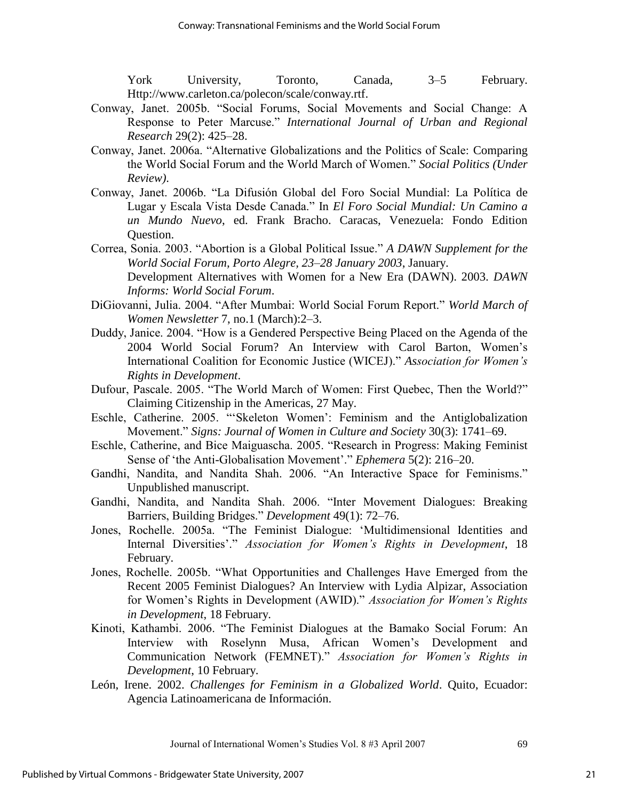York University, Toronto, Canada, 3–5 February. Http://www.carleton.ca/polecon/scale/conway.rtf.

- Conway, Janet. 2005b. "Social Forums, Social Movements and Social Change: A Response to Peter Marcuse." *International Journal of Urban and Regional Research* 29(2): 425–28.
- Conway, Janet. 2006a. "Alternative Globalizations and the Politics of Scale: Comparing the World Social Forum and the World March of Women." *Social Politics (Under Review)*.
- Conway, Janet. 2006b. "La Difusión Global del Foro Social Mundial: La Política de Lugar y Escala Vista Desde Canada." In *El Foro Social Mundial: Un Camino a un Mundo Nuevo*, ed. Frank Bracho. Caracas, Venezuela: Fondo Edition Question.
- Correa, Sonia. 2003. "Abortion is a Global Political Issue." *A DAWN Supplement for the World Social Forum, Porto Alegre, 23–28 January 2003*, January. Development Alternatives with Women for a New Era (DAWN). 2003. *DAWN Informs: World Social Forum*.
- DiGiovanni, Julia. 2004. "After Mumbai: World Social Forum Report." *World March of Women Newsletter* 7, no.1 (March):2–3.
- Duddy, Janice. 2004. "How is a Gendered Perspective Being Placed on the Agenda of the 2004 World Social Forum? An Interview with Carol Barton, Women"s International Coalition for Economic Justice (WICEJ)." *Association for Women's Rights in Development*.
- Dufour, Pascale. 2005. "The World March of Women: First Quebec, Then the World?" Claiming Citizenship in the Americas, 27 May.
- Eschle, Catherine. 2005. ""Skeleton Women": Feminism and the Antiglobalization Movement." *Signs: Journal of Women in Culture and Society* 30(3): 1741–69.
- Eschle, Catherine, and Bice Maiguascha. 2005. "Research in Progress: Making Feminist Sense of 'the Anti-Globalisation Movement'." *Ephemera* 5(2): 216–20.
- Gandhi, Nandita, and Nandita Shah. 2006. "An Interactive Space for Feminisms." Unpublished manuscript.
- Gandhi, Nandita, and Nandita Shah. 2006. "Inter Movement Dialogues: Breaking Barriers, Building Bridges." *Development* 49(1): 72–76.
- Jones, Rochelle. 2005a. "The Feminist Dialogue: "Multidimensional Identities and Internal Diversities"." *Association for Women's Rights in Development*, 18 February.
- Jones, Rochelle. 2005b. "What Opportunities and Challenges Have Emerged from the Recent 2005 Feminist Dialogues? An Interview with Lydia Alpizar, Association for Women"s Rights in Development (AWID)." *Association for Women's Rights in Development*, 18 February.
- Kinoti, Kathambi. 2006. "The Feminist Dialogues at the Bamako Social Forum: An Interview with Roselynn Musa, African Women"s Development and Communication Network (FEMNET)." *Association for Women's Rights in Development*, 10 February.
- León, Irene. 2002. *Challenges for Feminism in a Globalized World*. Quito, Ecuador: Agencia Latinoamericana de Información.

Journal of International Women"s Studies Vol. 8 #3 April 2007 69